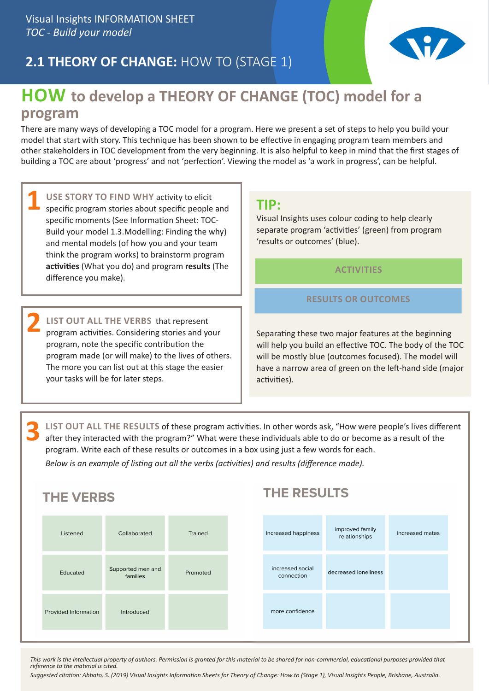# **2.1 THEORY OF CHANGE:** HOW TO (STAGE 1)



## **HOW to develop a THEORY OF CHANGE (TOC) model for a program**

There are many ways of developing a TOC model for a program. Here we present a set of steps to help you build your model that start with story. This technique has been shown to be effective in engaging program team members and other stakeholders in TOC development from the very beginning. It is also helpful to keep in mind that the first stages of building a TOC are about 'progress' and not 'perfection'. Viewing the model as 'a work in progress', can be helpful.

| USE STORY TO FIND WHY activity to elicit           |
|----------------------------------------------------|
| specific program stories about specific people and |
| specific moments (See Information Sheet: TOC-      |
| Build your model 1.3. Modelling: Finding the why)  |
| and mental models (of how you and your team        |
| think the program works) to brainstorm program     |
| activities (What you do) and program results (The  |
| difference you make).                              |

**LIST OUT ALL THE VERBS** that represent program activities. Considering stories and your program, note the specific contribution the program made (or will make) to the lives of others. The more you can list out at this stage the easier your tasks will be for later steps. **2**

### **TIP:**

Visual Insights uses colour coding to help clearly separate program 'activities' (green) from program 'results or outcomes' (blue).

### **ACTIVITIES**

### **RESULTS OR OUTCOMES**

Separating these two major features at the beginning will help you build an effective TOC. The body of the TOC will be mostly blue (outcomes focused). The model will have a narrow area of green on the left-hand side (major activities).

**LIST OUT ALL THE RESULTS** of these program activities. In other words ask, "How were people's lives different after they interacted with the program?" What were these individuals able to do or become as a result of the program. Write each of these results or outcomes in a box using just a few words for each. **3**

*Below is an example of listing out all the verbs (activities) and results (difference made).*

| <b>THE VERBS</b>     |                               |          |                                | <b>THE RESULTS</b>               |                 |  |
|----------------------|-------------------------------|----------|--------------------------------|----------------------------------|-----------------|--|
| Listened             | Collaborated                  | Trained  | increased happiness            | improved family<br>relationships | increased mates |  |
| Educated             | Supported men and<br>families | Promoted | increased social<br>connection | decreased loneliness             |                 |  |
| Provided Information | Introduced                    |          | more confidence                |                                  |                 |  |

*This work is the intellectual property of authors. Permission is granted for this material to be shared for non-commercial, educational purposes provided that reference to the material is cited.*

*Suggested citation: Abbato, S. (2019) Visual Insights Information Sheets for Theory of Change: How to (Stage 1), Visual Insights People, Brisbane, Australia.*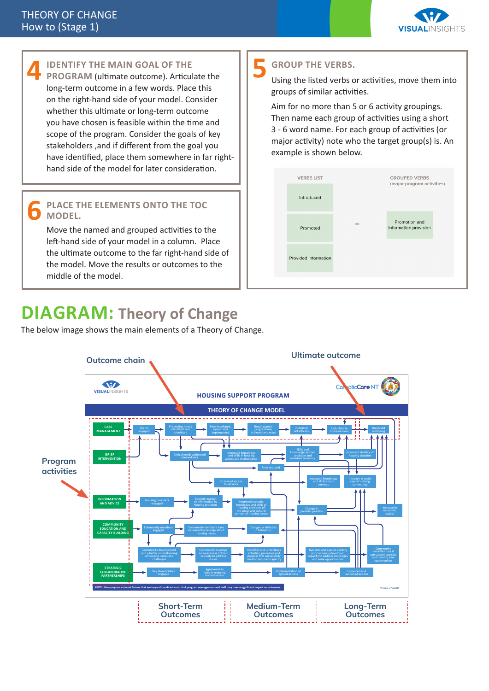

#### **IDENTIFY THE MAIN GOAL OF THE PROGRAM** (ultimate outcome). Articulate the long-term outcome in a few words. Place this on the right-hand side of your model. Consider whether this ultimate or long-term outcome you have chosen is feasible within the time and scope of the program. Consider the goals of key stakeholders ,and if different from the goal you have identified, place them somewhere in far righthand side of the model for later consideration. **4**

#### **PLACE THE ELEMENTS ONTO THE TOC MODEL. 6**

Move the named and grouped activities to the left-hand side of your model in a column. Place the ultimate outcome to the far right-hand side of the model. Move the results or outcomes to the middle of the model.

# **DIAGRAM: Theory of Change**

The below image shows the main elements of a Theory of Change.

### **GROUP THE VERBS. 5**

Using the listed verbs or activities, move them into groups of similar activities.

Aim for no more than 5 or 6 activity groupings. Then name each group of activities using a short 3 - 6 word name. For each group of activities (or major activity) note who the target group(s) is. An example is shown below.